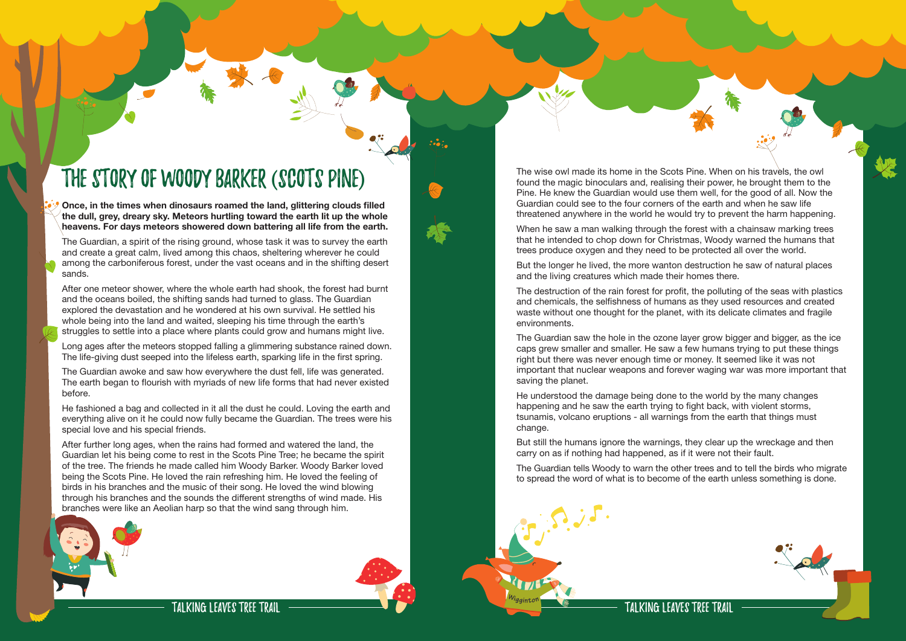Talking Leaves Tree Trail

## The story of Woody Barker (Scots Pine)

**Once, in the times when dinosaurs roamed the land, glittering clouds filled the dull, grey, dreary sky. Meteors hurtling toward the earth lit up the whole heavens. For days meteors showered down battering all life from the earth.** 

After one meteor shower, where the whole earth had shook, the forest had burnt and the oceans boiled, the shifting sands had turned to glass. The Guardian explored the devastation and he wondered at his own survival. He settled his whole being into the land and waited, sleeping his time through the earth's struggles to settle into a place where plants could grow and humans might live.

The Guardian, a spirit of the rising ground, whose task it was to survey the earth and create a great calm, lived among this chaos, sheltering wherever he could among the carboniferous forest, under the vast oceans and in the shifting desert sands.

Long ages after the meteors stopped falling a glimmering substance rained down. The life-giving dust seeped into the lifeless earth, sparking life in the first spring.

The Guardian awoke and saw how everywhere the dust fell, life was generated. The earth began to flourish with myriads of new life forms that had never existed before.

When he saw a man walking through the forest with a chainsaw marking trees that he intended to chop down for Christmas, Woody warned the humans that trees produce oxygen and they need to be protected all over the world.

He fashioned a bag and collected in it all the dust he could. Loving the earth and everything alive on it he could now fully became the Guardian. The trees were his special love and his special friends.

After further long ages, when the rains had formed and watered the land, the Guardian let his being come to rest in the Scots Pine Tree; he became the spirit of the tree. The friends he made called him Woody Barker. Woody Barker loved being the Scots Pine. He loved the rain refreshing him. He loved the feeling of birds in his branches and the music of their song. He loved the wind blowing through his branches and the sounds the different strengths of wind made. His branches were like an Aeolian harp so that the wind sang through him.







The wise owl made its home in the Scots Pine. When on his travels, the owl found the magic binoculars and, realising their power, he brought them to the Pine. He knew the Guardian would use them well, for the good of all. Now the Guardian could see to the four corners of the earth and when he saw life threatened anywhere in the world he would try to prevent the harm happening.

But the longer he lived, the more wanton destruction he saw of natural places and the living creatures which made their homes there.

The destruction of the rain forest for profit, the polluting of the seas with plastics and chemicals, the selfishness of humans as they used resources and created waste without one thought for the planet, with its delicate climates and fragile environments.

The Guardian saw the hole in the ozone layer grow bigger and bigger, as the ice caps grew smaller and smaller. He saw a few humans trying to put these things right but there was never enough time or money. It seemed like it was not important that nuclear weapons and forever waging war was more important that saving the planet.

He understood the damage being done to the world by the many changes happening and he saw the earth trying to fight back, with violent storms, tsunamis, volcano eruptions - all warnings from the earth that things must change.

But still the humans ignore the warnings, they clear up the wreckage and then carry on as if nothing had happened, as if it were not their fault.

The Guardian tells Woody to warn the other trees and to tell the birds who migrate to spread the word of what is to become of the earth unless something is done.